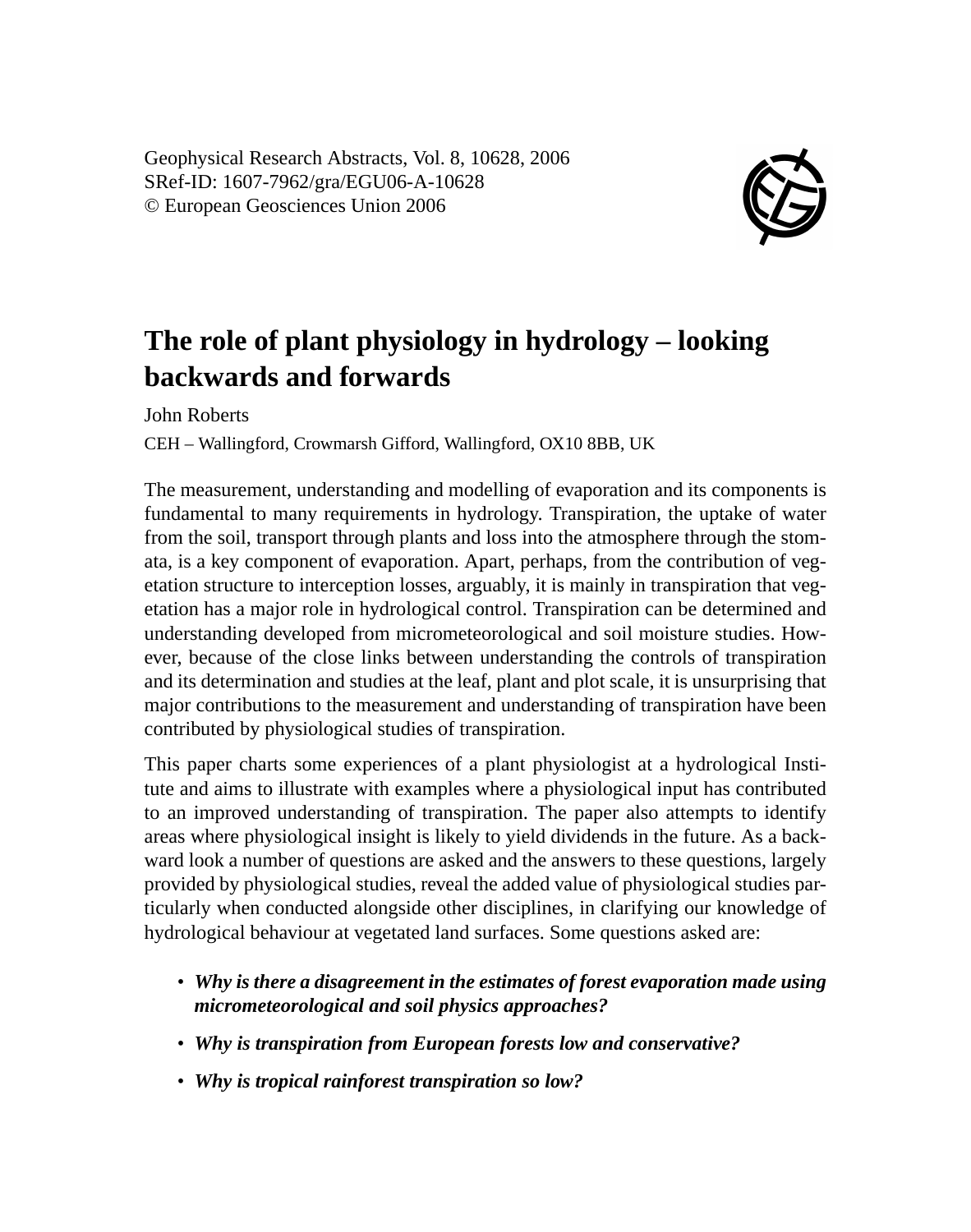Geophysical Research Abstracts, Vol. 8, 10628, 2006 SRef-ID: 1607-7962/gra/EGU06-A-10628 © European Geosciences Union 2006



## **The role of plant physiology in hydrology – looking backwards and forwards**

John Roberts

CEH – Wallingford, Crowmarsh Gifford, Wallingford, OX10 8BB, UK

The measurement, understanding and modelling of evaporation and its components is fundamental to many requirements in hydrology. Transpiration, the uptake of water from the soil, transport through plants and loss into the atmosphere through the stomata, is a key component of evaporation. Apart, perhaps, from the contribution of vegetation structure to interception losses, arguably, it is mainly in transpiration that vegetation has a major role in hydrological control. Transpiration can be determined and understanding developed from micrometeorological and soil moisture studies. However, because of the close links between understanding the controls of transpiration and its determination and studies at the leaf, plant and plot scale, it is unsurprising that major contributions to the measurement and understanding of transpiration have been contributed by physiological studies of transpiration.

This paper charts some experiences of a plant physiologist at a hydrological Institute and aims to illustrate with examples where a physiological input has contributed to an improved understanding of transpiration. The paper also attempts to identify areas where physiological insight is likely to yield dividends in the future. As a backward look a number of questions are asked and the answers to these questions, largely provided by physiological studies, reveal the added value of physiological studies particularly when conducted alongside other disciplines, in clarifying our knowledge of hydrological behaviour at vegetated land surfaces. Some questions asked are:

- *Why is there a disagreement in the estimates of forest evaporation made using micrometeorological and soil physics approaches?*
- *Why is transpiration from European forests low and conservative?*
- *Why is tropical rainforest transpiration so low?*